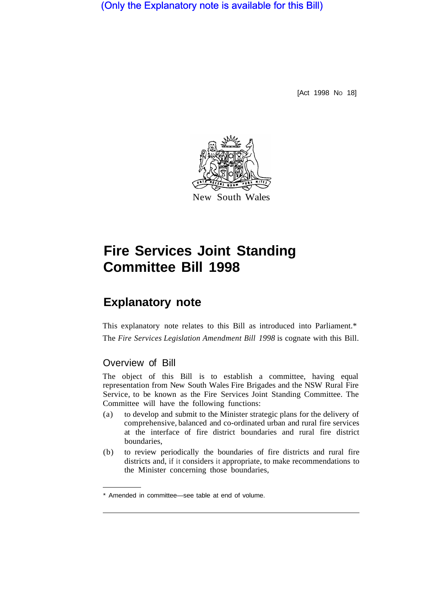(Only the Explanatory note is available for this Bill)

[Act 1998 No 18]



# **Fire Services Joint Standing Committee Bill 1998**

# **Explanatory note**

This explanatory note relates to this Bill as introduced into Parliament.\* The *Fire Services Legislation Amendment Bill 1998* is cognate with this Bill.

# Overview of Bill

The object of this Bill is to establish a committee, having equal representation from New South Wales Fire Brigades and the NSW Rural Fire Service, to be known as the Fire Services Joint Standing Committee. The Committee will have the following functions:

- (a) to develop and submit to the Minister strategic plans for the delivery of comprehensive, balanced and co-ordinated urban and rural fire services at the interface of fire district boundaries and rural fire district boundaries,
- (b) to review periodically the boundaries of fire districts and rural fire districts and, if it considers it appropriate, to make recommendations to the Minister concerning those boundaries,

<sup>\*</sup> Amended in committee—see table at end of volume.